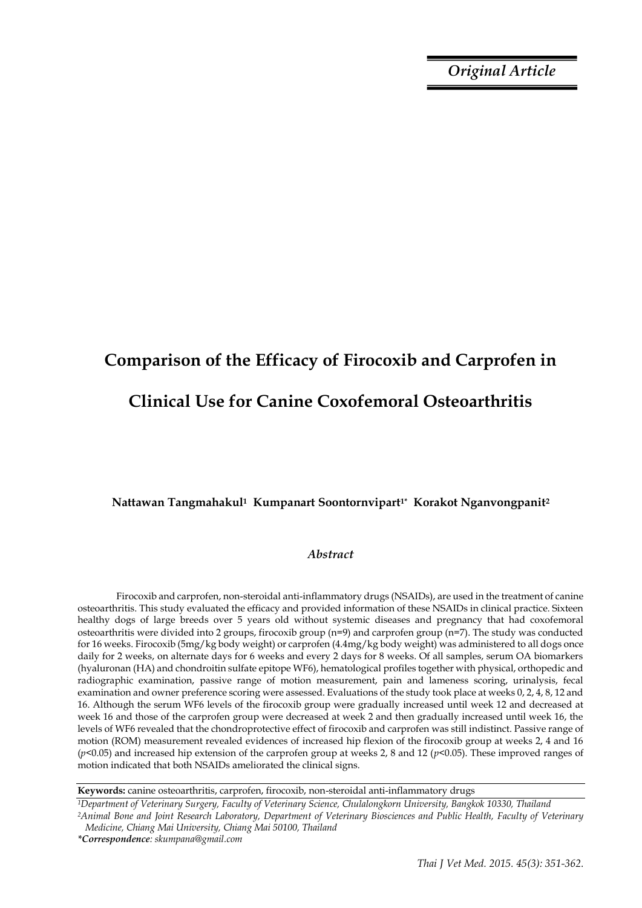*Original Article*

# **Comparison of the Efficacy of Firocoxib and Carprofen in Clinical Use for Canine Coxofemoral Osteoarthritis**

#### **Nattawan Tangmahakul1 Kumpanart Soontornvipart1\* Korakot Nganvongpanit<sup>2</sup>**

#### *Abstract*

Firocoxib and carprofen, non-steroidal anti-inflammatory drugs (NSAIDs), are used in the treatment of canine osteoarthritis. This study evaluated the efficacy and provided information of these NSAIDs in clinical practice. Sixteen healthy dogs of large breeds over 5 years old without systemic diseases and pregnancy that had coxofemoral osteoarthritis were divided into 2 groups, firocoxib group (n=9) and carprofen group (n=7). The study was conducted for 16 weeks. Firocoxib (5mg/kg body weight) or carprofen (4.4mg/kg body weight) was administered to all dogs once daily for 2 weeks, on alternate days for 6 weeks and every 2 days for 8 weeks. Of all samples, serum OA biomarkers (hyaluronan (HA) and chondroitin sulfate epitope WF6), hematological profiles together with physical, orthopedic and radiographic examination, passive range of motion measurement, pain and lameness scoring, urinalysis, fecal examination and owner preference scoring were assessed. Evaluations of the study took place at weeks 0, 2, 4, 8, 12 and 16. Although the serum WF6 levels of the firocoxib group were gradually increased until week 12 and decreased at week 16 and those of the carprofen group were decreased at week 2 and then gradually increased until week 16, the levels of WF6 revealed that the chondroprotective effect of firocoxib and carprofen was still indistinct. Passive range of motion (ROM) measurement revealed evidences of increased hip flexion of the firocoxib group at weeks 2, 4 and 16 (*p<*0.05) and increased hip extension of the carprofen group at weeks 2, 8 and 12 (*p<*0.05). These improved ranges of motion indicated that both NSAIDs ameliorated the clinical signs.

**Keywords:** canine osteoarthritis, carprofen, firocoxib, non-steroidal anti-inflammatory drugs

*<sup>1</sup>Department of Veterinary Surgery, Faculty of Veterinary Science, Chulalongkorn University, Bangkok 10330, Thailand <sup>2</sup>Animal Bone and Joint Research Laboratory, Department of Veterinary Biosciences and Public Health, Faculty of Veterinary Medicine, Chiang Mai University, Chiang Mai 50100, Thailand*

*<sup>\*</sup>Correspondence: skumpana@gmail.com*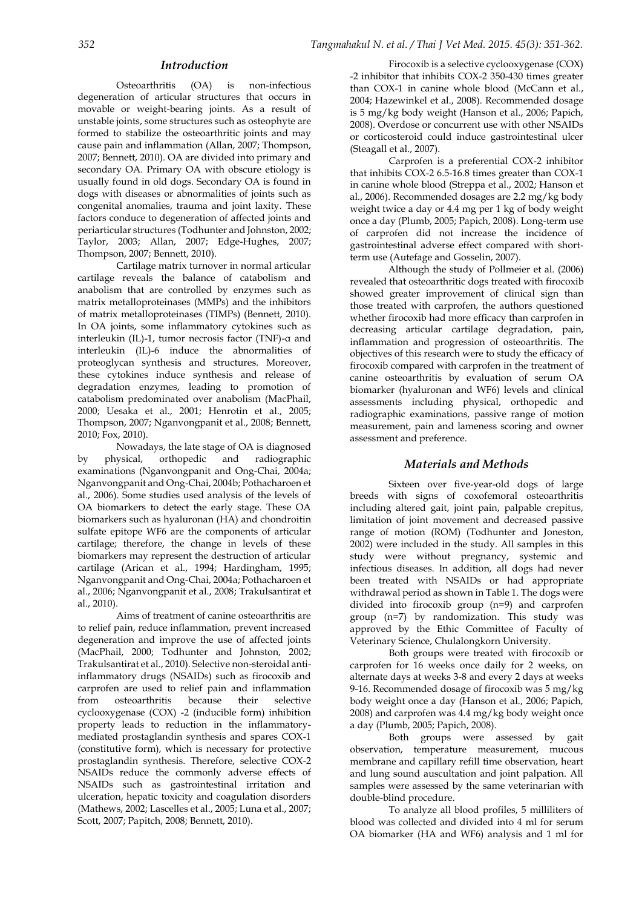#### *Introduction*

Osteoarthritis (OA) is non-infectious degeneration of articular structures that occurs in movable or weight-bearing joints. As a result of unstable joints, some structures such as osteophyte are formed to stabilize the osteoarthritic joints and may cause pain and inflammation [\(Allan, 2007;](#page-9-0) [Thompson,](#page-10-0)  [2007;](#page-10-0) [Bennett, 2010\)](#page-9-1). OA are divided into primary and secondary OA. Primary OA with obscure etiology is usually found in old dogs. Secondary OA is found in dogs with diseases or abnormalities of joints such as congenital anomalies, trauma and joint laxity. These factors conduce to degeneration of affected joints and periarticular structures [\(Todhunter and Johnston, 2002;](#page-10-1)  [Taylor, 2003;](#page-10-2) [Allan, 2007;](#page-9-0) [Edge-Hughes, 2007;](#page-9-2)  [Thompson, 2007;](#page-10-0) [Bennett, 2010\)](#page-9-1).

Cartilage matrix turnover in normal articular cartilage reveals the balance of catabolism and anabolism that are controlled by enzymes such as matrix metalloproteinases (MMPs) and the inhibitors of matrix metalloproteinases (TIMPs) [\(Bennett, 2010\)](#page-9-1). In OA joints, some inflammatory cytokines such as interleukin (IL)-1, tumor necrosis factor (TNF)-α and interleukin (IL)-6 induce the abnormalities of proteoglycan synthesis and structures. Moreover, these cytokines induce synthesis and release of degradation enzymes, leading to promotion of catabolism predominated over anabolism [\(MacPhail,](#page-10-3)  [2000;](#page-10-3) [Uesaka et al., 2001;](#page-10-4) [Henrotin et al., 2005;](#page-9-3)  [Thompson, 2007;](#page-10-0) [Nganvongpanit et al., 2008;](#page-10-5) [Bennett,](#page-9-1)  [2010;](#page-9-1) [Fox, 2010\)](#page-9-4).

Nowadays, the late stage of OA is diagnosed by physical, orthopedic and radiographic examinations [\(Nganvongpanit and Ong-Chai, 2004a;](#page-10-6)  [Nganvongpanit and Ong-Chai, 2004b;](#page-10-7) [Pothacharoen et](#page-10-8)  [al., 2006\)](#page-10-8). Some studies used analysis of the levels of OA biomarkers to detect the early stage. These OA biomarkers such as hyaluronan (HA) and chondroitin sulfate epitope WF6 are the components of articular cartilage; therefore, the change in levels of these biomarkers may represent the destruction of articular cartilage [\(Arican et al., 1994;](#page-9-5) [Hardingham, 1995;](#page-9-6)  [Nganvongpanit and Ong-Chai, 2004a;](#page-10-6) [Pothacharoen et](#page-10-8)  [al., 2006;](#page-10-8) [Nganvongpanit et al., 2008;](#page-10-5) [Trakulsantirat et](#page-10-9)  [al., 2010\)](#page-10-9).

Aims of treatment of canine osteoarthritis are to relief pain, reduce inflammation, prevent increased degeneration and improve the use of affected joints [\(MacPhail, 2000;](#page-10-3) [Todhunter and Johnston, 2002;](#page-10-1)  [Trakulsantirat et al., 2010\)](#page-10-9). Selective non-steroidal antiinflammatory drugs (NSAIDs) such as firocoxib and carprofen are used to relief pain and inflammation from osteoarthritis because their selective cyclooxygenase (COX) -2 (inducible form) inhibition property leads to reduction in the inflammatorymediated prostaglandin synthesis and spares COX-1 (constitutive form), which is necessary for protective prostaglandin synthesis. Therefore, selective COX-2 NSAIDs reduce the commonly adverse effects of NSAIDs such as gastrointestinal irritation and ulceration, hepatic toxicity and coagulation disorders (Mathews, 2002; Lascelles et al., 2005; Luna et al., 2007; Scott, 2007; Papitch, 2008; Bennett, 2010).

Firocoxib is a selective cyclooxygenase (COX) -2 inhibitor that inhibits COX-2 350-430 times greater than COX-1 in canine whole blood [\(McCann et al.,](#page-10-10)  [2004;](#page-10-10) [Hazewinkel et al., 2008\)](#page-9-7). Recommended dosage is 5 mg/kg body weight (Hanson et al., 2006; Papich, 2008). Overdose or concurrent use with other NSAIDs or corticosteroid could induce gastrointestinal ulcer [\(Steagall et al., 2007\)](#page-10-11).

Carprofen is a preferential COX-2 inhibitor that inhibits COX-2 6.5-16.8 times greater than COX-1 in canine whole blood [\(Streppa et al., 2002;](#page-10-12) [Hanson et](#page-9-8)  [al., 2006\)](#page-9-8). Recommended dosages are 2.2 mg/kg body weight twice a day or 4.4 mg per 1 kg of body weight once a day (Plumb, 2005; Papich, 2008). Long-term use of carprofen did not increase the incidence of gastrointestinal adverse effect compared with shortterm use [\(Autefage and Gosselin, 2007\)](#page-9-9).

Although the study of Pollmeier et al. (2006) revealed that osteoarthritic dogs treated with firocoxib showed greater improvement of clinical sign than those treated with carprofen, the authors questioned whether firocoxib had more efficacy than carprofen in decreasing articular cartilage degradation, pain, inflammation and progression of osteoarthritis. The objectives of this research were to study the efficacy of firocoxib compared with carprofen in the treatment of canine osteoarthritis by evaluation of serum OA biomarker (hyaluronan and WF6) levels and clinical assessments including physical, orthopedic and radiographic examinations, passive range of motion measurement, pain and lameness scoring and owner assessment and preference.

#### *Materials and Methods*

Sixteen over five-year-old dogs of large breeds with signs of coxofemoral osteoarthritis including altered gait, joint pain, palpable crepitus, limitation of joint movement and decreased passive range of motion (ROM) (Todhunter and Joneston, 2002) were included in the study. All samples in this study were without pregnancy, systemic and infectious diseases. In addition, all dogs had never been treated with NSAIDs or had appropriate withdrawal period as shown in Table 1. The dogs were divided into firocoxib group (n=9) and carprofen group (n=7) by randomization. This study was approved by the Ethic Committee of Faculty of Veterinary Science, Chulalongkorn University.

Both groups were treated with firocoxib or carprofen for 16 weeks once daily for 2 weeks, on alternate days at weeks 3-8 and every 2 days at weeks 9-16. Recommended dosage of firocoxib was 5 mg/kg body weight once a day (Hanson et al., 2006; Papich, 2008) and carprofen was 4.4 mg/kg body weight once a day (Plumb, 2005; Papich, 2008).

Both groups were assessed by gait observation, temperature measurement, mucous membrane and capillary refill time observation, heart and lung sound auscultation and joint palpation. All samples were assessed by the same veterinarian with double-blind procedure.

To analyze all blood profiles, 5 milliliters of blood was collected and divided into 4 ml for serum OA biomarker (HA and WF6) analysis and 1 ml for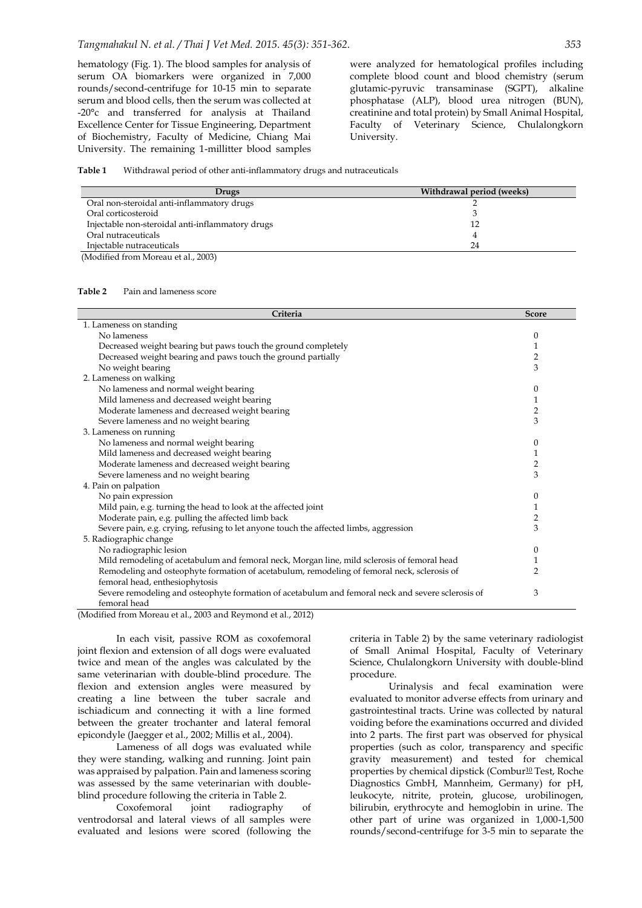hematology (Fig. 1). The blood samples for analysis of serum OA biomarkers were organized in 7,000 rounds/second-centrifuge for 10-15 min to separate serum and blood cells, then the serum was collected at -20°c and transferred for analysis at Thailand Excellence Center for Tissue Engineering, Department of Biochemistry, Faculty of Medicine, Chiang Mai University. The remaining 1-millitter blood samples

were analyzed for hematological profiles including complete blood count and blood chemistry (serum glutamic-pyruvic transaminase (SGPT), alkaline phosphatase (ALP), blood urea nitrogen (BUN), creatinine and total protein) by Small Animal Hospital, Faculty of Veterinary Science, Chulalongkorn University.

#### **Table 1** Withdrawal period of other anti-inflammatory drugs and nutraceuticals

| Drugs                                            | Withdrawal period (weeks) |
|--------------------------------------------------|---------------------------|
| Oral non-steroidal anti-inflammatory drugs       |                           |
| Oral corticosteroid                              |                           |
| Injectable non-steroidal anti-inflammatory drugs | 12                        |
| Oral nutraceuticals                              |                           |
| Injectable nutraceuticals                        | 24                        |
| (Modified from Moreau et al., 2003)              |                           |

#### **Table 2** Pain and lameness score

| Criteria                                                                                          | <b>Score</b>   |
|---------------------------------------------------------------------------------------------------|----------------|
| 1. Lameness on standing                                                                           |                |
| No lameness                                                                                       | 0              |
| Decreased weight bearing but paws touch the ground completely                                     | 1              |
| Decreased weight bearing and paws touch the ground partially                                      | 2              |
| No weight bearing                                                                                 | 3              |
| 2. Lameness on walking                                                                            |                |
| No lameness and normal weight bearing                                                             | $\mathbf{0}$   |
| Mild lameness and decreased weight bearing                                                        | 1              |
|                                                                                                   |                |
| Moderate lameness and decreased weight bearing                                                    | 2<br>3         |
| Severe lameness and no weight bearing                                                             |                |
| 3. Lameness on running                                                                            |                |
| No lameness and normal weight bearing                                                             | 0              |
| Mild lameness and decreased weight bearing                                                        | 1              |
| Moderate lameness and decreased weight bearing                                                    | $\overline{2}$ |
| Severe lameness and no weight bearing                                                             | 3              |
| 4. Pain on palpation                                                                              |                |
| No pain expression                                                                                | $\mathbf{0}$   |
| Mild pain, e.g. turning the head to look at the affected joint                                    | 1              |
| Moderate pain, e.g. pulling the affected limb back                                                | 2              |
| Severe pain, e.g. crying, refusing to let anyone touch the affected limbs, aggression             | 3              |
| 5. Radiographic change                                                                            |                |
| No radiographic lesion                                                                            | 0              |
| Mild remodeling of acetabulum and femoral neck, Morgan line, mild sclerosis of femoral head       | 1              |
| Remodeling and osteophyte formation of acetabulum, remodeling of femoral neck, sclerosis of       | 2              |
| femoral head, enthesiophytosis                                                                    |                |
| Severe remodeling and osteophyte formation of acetabulum and femoral neck and severe sclerosis of | 3              |
| femoral head                                                                                      |                |
| $(M - 1)(1 - 1)$ from $M_{2}$ $(1 - 1)$ $(2002 - 1)$ $D_{3}$ $(302 - 1)$ $(4 - 1)$ $(2012)$       |                |

(Modified from Moreau et al., 2003 and Reymond et al., 2012)

In each visit, passive ROM as coxofemoral joint flexion and extension of all dogs were evaluated twice and mean of the angles was calculated by the same veterinarian with double-blind procedure. The flexion and extension angles were measured by creating a line between the tuber sacrale and ischiadicum and connecting it with a line formed between the greater trochanter and lateral femoral epicondyle (Jaegger et al., 2002; Millis et al., 2004).

Lameness of all dogs was evaluated while they were standing, walking and running. Joint pain was appraised by palpation. Pain and lameness scoring was assessed by the same veterinarian with doubleblind procedure following the criteria in Table 2.

Coxofemoral joint radiography of ventrodorsal and lateral views of all samples were evaluated and lesions were scored (following the

criteria in Table 2) by the same veterinary radiologist of Small Animal Hospital, Faculty of Veterinary Science, Chulalongkorn University with double-blind procedure.

Urinalysis and fecal examination were evaluated to monitor adverse effects from urinary and gastrointestinal tracts. Urine was collected by natural voiding before the examinations occurred and divided into 2 parts. The first part was observed for physical properties (such as color, transparency and specific gravity measurement) and tested for chemical properties by chemical dipstick (Combur<sup>10</sup> Test, Roche Diagnostics GmbH, Mannheim, Germany) for pH, leukocyte, nitrite, protein, glucose, urobilinogen, bilirubin, erythrocyte and hemoglobin in urine. The other part of urine was organized in 1,000-1,500 rounds/second-centrifuge for 3-5 min to separate the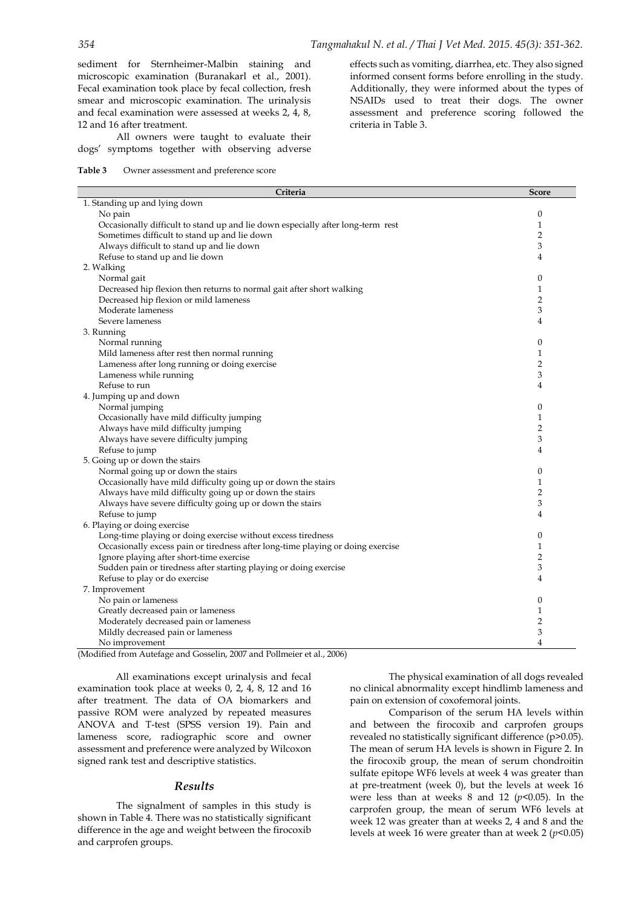sediment for Sternheimer-Malbin staining and microscopic examination (Buranakarl et al., 2001). Fecal examination took place by fecal collection, fresh smear and microscopic examination. The urinalysis and fecal examination were assessed at weeks 2, 4, 8, 12 and 16 after treatment.

All owners were taught to evaluate their dogs' symptoms together with observing adverse

#### **Table 3** Owner assessment and preference score

effects such as vomiting, diarrhea, etc. They also signed informed consent forms before enrolling in the study. Additionally, they were informed about the types of NSAIDs used to treat their dogs. The owner assessment and preference scoring followed the criteria in Table 3.

| Criteria                                                                        | <b>Score</b>     |
|---------------------------------------------------------------------------------|------------------|
| 1. Standing up and lying down                                                   |                  |
| No pain                                                                         | $\boldsymbol{0}$ |
| Occasionally difficult to stand up and lie down especially after long-term rest | $\mathbf{1}$     |
| Sometimes difficult to stand up and lie down                                    | $\overline{2}$   |
| Always difficult to stand up and lie down                                       | 3                |
| Refuse to stand up and lie down                                                 | 4                |
| 2. Walking                                                                      |                  |
| Normal gait                                                                     | $\boldsymbol{0}$ |
| Decreased hip flexion then returns to normal gait after short walking           | $\mathbf{1}$     |
| Decreased hip flexion or mild lameness                                          | $\overline{2}$   |
| Moderate lameness                                                               | 3                |
| Severe lameness                                                                 | 4                |
| 3. Running                                                                      |                  |
| Normal running                                                                  | $\boldsymbol{0}$ |
| Mild lameness after rest then normal running                                    | $\mathbf{1}$     |
| Lameness after long running or doing exercise                                   | $\overline{2}$   |
| Lameness while running                                                          | 3                |
| Refuse to run                                                                   | 4                |
| 4. Jumping up and down                                                          |                  |
| Normal jumping                                                                  | $\boldsymbol{0}$ |
| Occasionally have mild difficulty jumping                                       | $\mathbf{1}$     |
| Always have mild difficulty jumping                                             | $\overline{2}$   |
| Always have severe difficulty jumping                                           | 3                |
| Refuse to jump                                                                  | 4                |
|                                                                                 |                  |
| 5. Going up or down the stairs                                                  | $\boldsymbol{0}$ |
| Normal going up or down the stairs                                              | 1                |
| Occasionally have mild difficulty going up or down the stairs                   | $\overline{2}$   |
| Always have mild difficulty going up or down the stairs                         | 3                |
| Always have severe difficulty going up or down the stairs                       | 4                |
| Refuse to jump                                                                  |                  |
| 6. Playing or doing exercise                                                    |                  |
| Long-time playing or doing exercise without excess tiredness                    | $\boldsymbol{0}$ |
| Occasionally excess pain or tiredness after long-time playing or doing exercise | $\mathbf{1}$     |
| Ignore playing after short-time exercise                                        | $\overline{2}$   |
| Sudden pain or tiredness after starting playing or doing exercise               | 3                |
| Refuse to play or do exercise                                                   | 4                |
| 7. Improvement                                                                  |                  |
| No pain or lameness                                                             | $\boldsymbol{0}$ |
| Greatly decreased pain or lameness                                              | 1                |
| Moderately decreased pain or lameness                                           | 2                |
| Mildly decreased pain or lameness                                               | 3                |
| No improvement                                                                  | $\overline{4}$   |

(Modified from Autefage and Gosselin, 2007 and Pollmeier et al., 2006)

All examinations except urinalysis and fecal examination took place at weeks 0, 2, 4, 8, 12 and 16 after treatment. The data of OA biomarkers and passive ROM were analyzed by repeated measures ANOVA and T-test (SPSS version 19). Pain and lameness score, radiographic score and owner assessment and preference were analyzed by Wilcoxon signed rank test and descriptive statistics.

#### *Results*

The signalment of samples in this study is shown in Table 4. There was no statistically significant difference in the age and weight between the firocoxib and carprofen groups.

The physical examination of all dogs revealed no clinical abnormality except hindlimb lameness and pain on extension of coxofemoral joints.

Comparison of the serum HA levels within and between the firocoxib and carprofen groups revealed no statistically significant difference (p>0.05). The mean of serum HA levels is shown in Figure 2. In the firocoxib group, the mean of serum chondroitin sulfate epitope WF6 levels at week 4 was greater than at pre-treatment (week 0), but the levels at week 16 were less than at weeks 8 and 12 (*p<*0.05). In the carprofen group, the mean of serum WF6 levels at week 12 was greater than at weeks 2, 4 and 8 and the levels at week 16 were greater than at week 2 (*p<*0.05)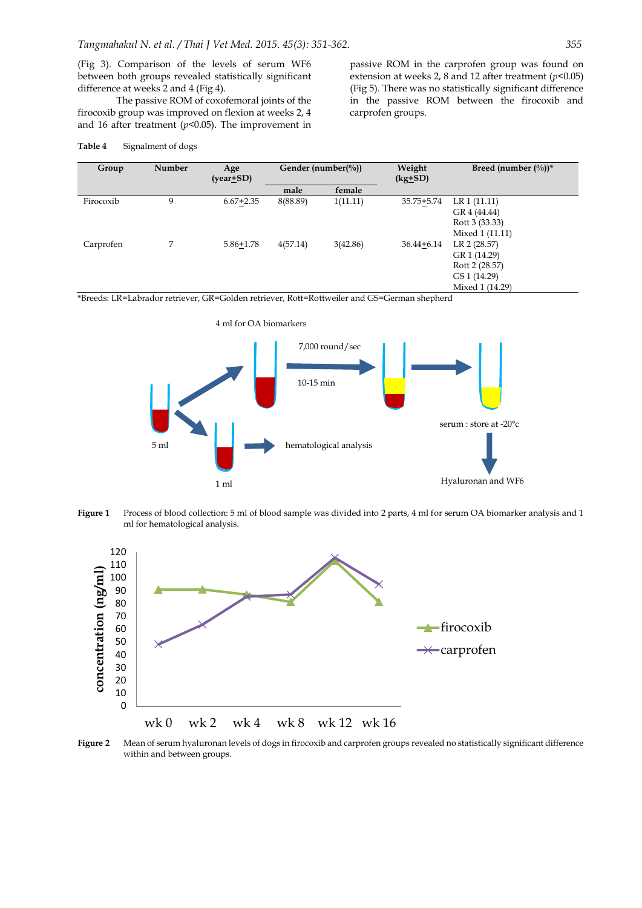(Fig 3). Comparison of the levels of serum WF6 between both groups revealed statistically significant difference at weeks 2 and 4 (Fig 4).

The passive ROM of coxofemoral joints of the firocoxib group was improved on flexion at weeks 2, 4 and 16 after treatment (*p<*0.05). The improvement in

| Group     | Number | Age<br>$(year\text{+}SD)$ | Gender (number( $\frac{0}{0}$ )) |          |                |                 | Weight<br>$(kg+SD)$ | Breed (number $(\%)$ )* |
|-----------|--------|---------------------------|----------------------------------|----------|----------------|-----------------|---------------------|-------------------------|
|           |        |                           | male                             | female   |                |                 |                     |                         |
| Firocoxib | 9      | $6.67 + 2.35$             | 8(88.89)                         | 1(11.11) | 35.75+5.74     | LR 1 (11.11)    |                     |                         |
|           |        |                           |                                  |          |                | GR 4 (44.44)    |                     |                         |
|           |        |                           |                                  |          |                | Rott 3 (33.33)  |                     |                         |
|           |        |                           |                                  |          |                | Mixed 1 (11.11) |                     |                         |
| Carprofen |        | $5.86 + 1.78$             | 4(57.14)                         | 3(42.86) | $36.44 + 6.14$ | LR 2 (28.57)    |                     |                         |
|           |        |                           |                                  |          |                | GR 1 (14.29)    |                     |                         |
|           |        |                           |                                  |          |                | Rott 2 (28.57)  |                     |                         |
|           |        |                           |                                  |          |                | GS 1 (14.29)    |                     |                         |
|           |        |                           |                                  |          |                | Mixed 1 (14.29) |                     |                         |

carprofen groups.

#### **Table 4** Signalment of dogs

\*Breeds: LR=Labrador retriever, GR=Golden retriever, Rott=Rottweiler and GS=German shepherd



**Figure 1** Process of blood collection: 5 ml of blood sample was divided into 2 parts, 4 ml for serum OA biomarker analysis and 1 ml for hematological analysis.



**Figure 2** Mean of serum hyaluronan levels of dogs in firocoxib and carprofen groups revealed no statistically significant difference within and between groups.

passive ROM in the carprofen group was found on extension at weeks 2, 8 and 12 after treatment (*p<*0.05) (Fig 5). There was no statistically significant difference in the passive ROM between the firocoxib and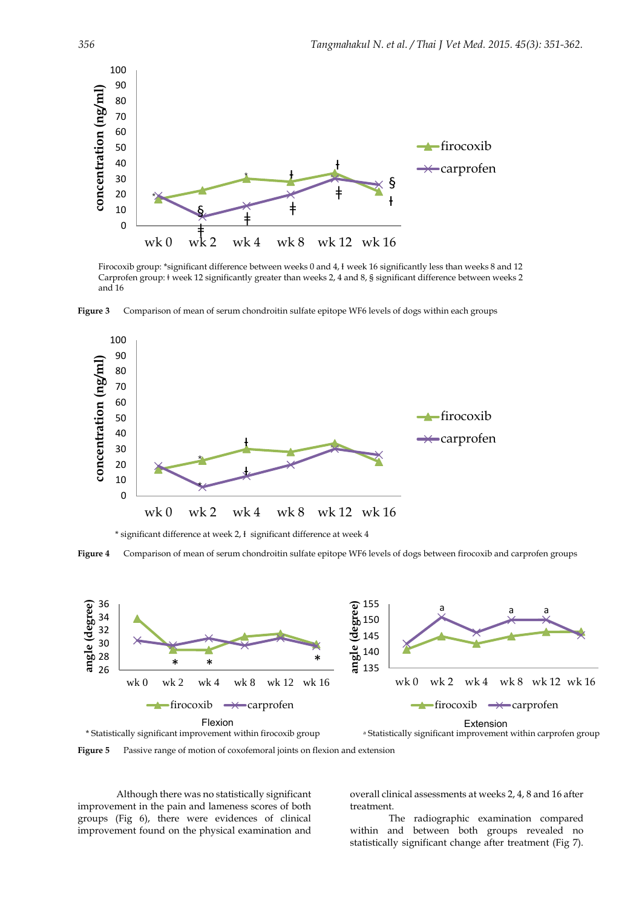

Firocoxib group: \*significant difference between weeks 0 and 4, I week 16 significantly less than weeks 8 and 12 Carprofen group: ǂ week 12 significantly greater than weeks 2, 4 and 8, § significant difference between weeks 2 and 16

**Figure 3** Comparison of mean of serum chondroitin sulfate epitope WF6 levels of dogs within each groups



\* significant difference at week 2, Ɨ significant difference at week 4

**Figure 4** Comparison of mean of serum chondroitin sulfate epitope WF6 levels of dogs between firocoxib and carprofen groups



**Figure 5** Passive range of motion of coxofemoral joints on flexion and extension

Although there was no statistically significant improvement in the pain and lameness scores of both groups (Fig 6), there were evidences of clinical improvement found on the physical examination and overall clinical assessments at weeks 2, 4, 8 and 16 after treatment.

The radiographic examination compared within and between both groups revealed no statistically significant change after treatment (Fig 7).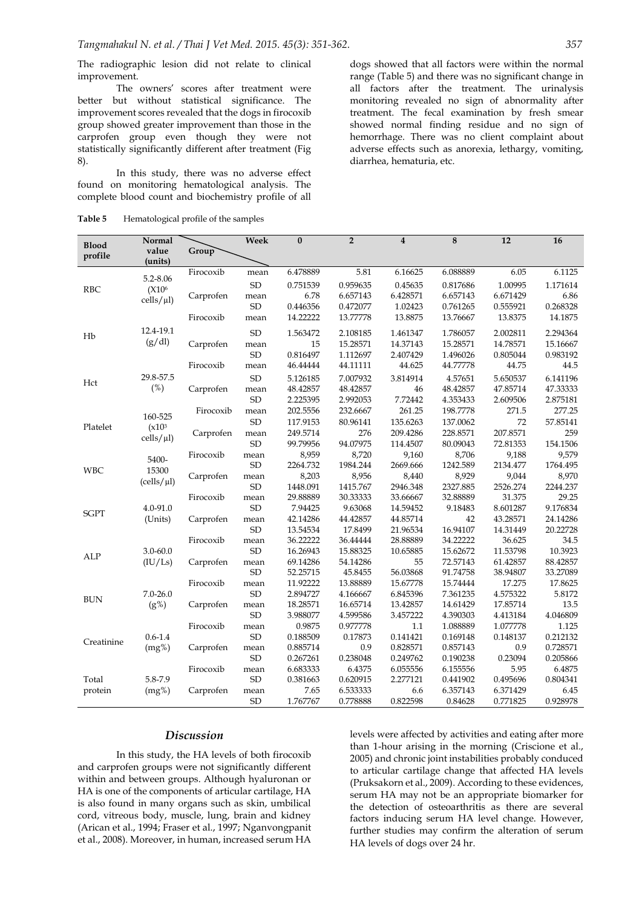The radiographic lesion did not relate to clinical improvement.

The owners' scores after treatment were better but without statistical significance. The improvement scores revealed that the dogs in firocoxib group showed greater improvement than those in the carprofen group even though they were not statistically significantly different after treatment (Fig 8).

In this study, there was no adverse effect found on monitoring hematological analysis. The complete blood count and biochemistry profile of all

**Table 5** Hematological profile of the samples

dogs showed that all factors were within the normal range (Table 5) and there was no significant change in all factors after the treatment. The urinalysis monitoring revealed no sign of abnormality after treatment. The fecal examination by fresh smear showed normal finding residue and no sign of hemorrhage. There was no client complaint about adverse effects such as anorexia, lethargy, vomiting, diarrhea, hematuria, etc.

|              | Normal                       |           | Week       | $\bf{0}$ | $\overline{2}$       | $\overline{\mathbf{4}}$ | 8        | 12       | 16       |
|--------------|------------------------------|-----------|------------|----------|----------------------|-------------------------|----------|----------|----------|
| <b>Blood</b> | value                        | Group     |            |          |                      |                         |          |          |          |
| profile      | (units)                      |           |            |          |                      |                         |          |          |          |
| <b>RBC</b>   |                              | Firocoxib | mean       | 6.478889 | 5.81                 | 6.16625                 | 6.088889 | 6.05     | 6.1125   |
|              | 5.2-8.06                     |           | <b>SD</b>  | 0.751539 | 0.959635             | 0.45635                 | 0.817686 | 1.00995  | 1.171614 |
|              | (X10 <sup>6</sup> )          | Carprofen | mean       | 6.78     | 6.657143             | 6.428571                | 6.657143 | 6.671429 | 6.86     |
|              | $\text{cells}/\mu\text{l}$ ) |           | <b>SD</b>  | 0.446356 | 0.472077             | 1.02423                 | 0.761265 | 0.555921 | 0.268328 |
|              |                              | Firocoxib | mean       | 14.22222 | 13.77778             | 13.8875                 | 13.76667 | 13.8375  | 14.1875  |
|              | 12.4-19.1                    |           | <b>SD</b>  | 1.563472 | 2.108185             | 1.461347                | 1.786057 | 2.002811 | 2.294364 |
| Hb           | (g/dl)                       | Carprofen | mean       | 15       | 15.28571             | 14.37143                | 15.28571 | 14.78571 | 15.16667 |
|              |                              |           | <b>SD</b>  | 0.816497 |                      | 2.407429                | 1.496026 | 0.805044 | 0.983192 |
|              |                              | Firocoxib |            | 46.44444 | 1.112697<br>44.11111 | 44.625                  | 44.77778 | 44.75    | 44.5     |
|              |                              |           | mean       |          |                      |                         |          |          |          |
| Hct          | 29.8-57.5                    |           | SD         | 5.126185 | 7.007932             | 3.814914                | 4.57651  | 5.650537 | 6.141196 |
|              | (%)                          | Carprofen | mean       | 48.42857 | 48.42857             | 46                      | 48.42857 | 47.85714 | 47.33333 |
|              |                              |           | <b>SD</b>  | 2.225395 | 2.992053             | 7.72442                 | 4.353433 | 2.609506 | 2.875181 |
|              | 160-525                      | Firocoxib | mean       | 202.5556 | 232.6667             | 261.25                  | 198.7778 | 271.5    | 277.25   |
| Platelet     | (x10 <sup>3</sup> )          |           | <b>SD</b>  | 117.9153 | 80.96141             | 135.6263                | 137.0062 | 72       | 57.85141 |
|              | $\text{cells}/\mu\text{l}$ ) | Carprofen | mean       | 249.5714 | 276                  | 209.4286                | 228.8571 | 207.8571 | 259      |
|              |                              |           | <b>SD</b>  | 99.79956 | 94.07975             | 114.4507                | 80.09043 | 72.81353 | 154.1506 |
|              | 5400-                        | Firocoxib | mean       | 8,959    | 8,720                | 9,160                   | 8,706    | 9,188    | 9,579    |
| <b>WBC</b>   | 15300                        |           | <b>SD</b>  | 2264.732 | 1984.244             | 2669.666                | 1242.589 | 2134.477 | 1764.495 |
|              | (cells/µl)                   | Carprofen | mean       | 8,203    | 8,956                | 8,440                   | 8,929    | 9,044    | 8,970    |
|              |                              |           | ${\rm SD}$ | 1448.091 | 1415.767             | 2946.348                | 2327.885 | 2526.274 | 2244.237 |
|              |                              | Firocoxib | mean       | 29.88889 | 30.33333             | 33.66667                | 32.88889 | 31.375   | 29.25    |
| <b>SGPT</b>  | 4.0-91.0<br>(Units)          |           | ${\rm SD}$ | 7.94425  | 9.63068              | 14.59452                | 9.18483  | 8.601287 | 9.176834 |
|              |                              | Carprofen | mean       | 42.14286 | 44.42857             | 44.85714                | 42       | 43.28571 | 24.14286 |
|              |                              |           | <b>SD</b>  | 13.54534 | 17.8499              | 21.96534                | 16.94107 | 14.31449 | 20.22728 |
|              |                              | Firocoxib | mean       | 36.22222 | 36.44444             | 28.88889                | 34.22222 | 36.625   | 34.5     |
| ALP          | $3.0 - 60.0$                 |           | <b>SD</b>  | 16.26943 | 15.88325             | 10.65885                | 15.62672 | 11.53798 | 10.3923  |
|              | (IU/Ls)                      | Carprofen | mean       | 69.14286 | 54.14286             | 55                      | 72.57143 | 61.42857 | 88.42857 |
|              |                              |           | SD         | 52.25715 | 45.8455              | 56.03868                | 91.74758 | 38.94807 | 33.27089 |
|              |                              | Firocoxib | mean       | 11.92222 | 13.88889             | 15.67778                | 15.74444 | 17.275   | 17.8625  |
| <b>BUN</b>   | $7.0 - 26.0$                 |           | ${\rm SD}$ | 2.894727 | 4.166667             | 6.845396                | 7.361235 | 4.575322 | 5.8172   |
|              | (g%)                         | Carprofen | mean       | 18.28571 | 16.65714             | 13.42857                | 14.61429 | 17.85714 | 13.5     |
|              |                              |           | <b>SD</b>  | 3.988077 | 4.599586             | 3.457222                | 4.390303 | 4.413184 | 4.046809 |
|              |                              | Firocoxib | mean       | 0.9875   | 0.977778             | 1.1                     | 1.088889 | 1.077778 | 1.125    |
| Creatinine   | $0.6 - 1.4$                  |           | <b>SD</b>  | 0.188509 | 0.17873              | 0.141421                | 0.169148 | 0.148137 | 0.212132 |
|              | $(mg\%)$                     | Carprofen | mean       | 0.885714 | 0.9                  | 0.828571                | 0.857143 | 0.9      | 0.728571 |
|              |                              |           | <b>SD</b>  | 0.267261 | 0.238048             | 0.249762                | 0.190238 | 0.23094  | 0.205866 |
|              |                              | Firocoxib | mean       | 6.683333 | 6.4375               | 6.055556                | 6.155556 | 5.95     | 6.4875   |
| Total        | 5.8-7.9                      |           | <b>SD</b>  | 0.381663 | 0.620915             | 2.277121                | 0.441902 | 0.495696 | 0.804341 |
| protein      | (mg%)                        | Carprofen | mean       | 7.65     | 6.533333             | 6.6                     | 6.357143 | 6.371429 | 6.45     |
|              |                              |           | <b>SD</b>  | 1.767767 | 0.778888             | 0.822598                | 0.84628  | 0.771825 | 0.928978 |

#### *Discussion*

In this study, the HA levels of both firocoxib and carprofen groups were not significantly different within and between groups. Although hyaluronan or HA is one of the components of articular cartilage, HA is also found in many organs such as skin, umbilical cord, vitreous body, muscle, lung, brain and kidney [\(Arican et al., 1994;](#page-9-5) [Fraser et al., 1997;](#page-9-10) [Nganvongpanit](#page-10-5)  [et al., 2008\)](#page-10-5). Moreover, in human, increased serum HA

levels were affected by activities and eating after more than 1-hour arising in the morning (Criscione et al., 2005) and chronic joint instabilities probably conduced to articular cartilage change that affected HA levels (Pruksakorn et al., 2009). According to these evidences, serum HA may not be an appropriate biomarker for the detection of osteoarthritis as there are several factors inducing serum HA level change. However, further studies may confirm the alteration of serum HA levels of dogs over 24 hr.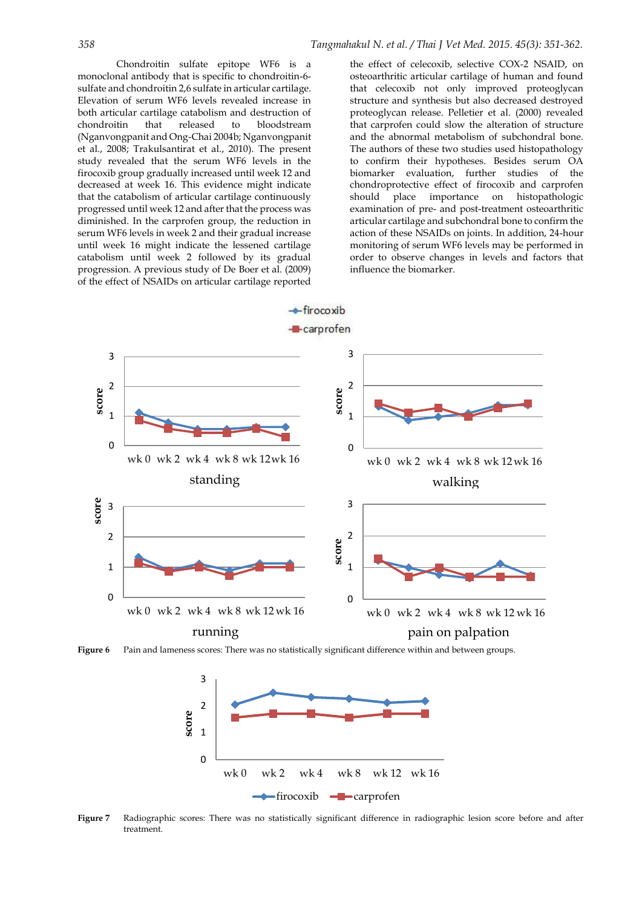*358 Tangmahakul N. et al. / Thai J Vet Med. 2015. 45(3): 351-362.*

Chondroitin sulfate epitope WF6 is a monoclonal antibody that is specific to chondroitin-6 sulfate and chondroitin 2,6 sulfate in articular cartilage. Elevation of serum WF6 levels revealed increase in both articular cartilage catabolism and destruction of chondroitin that released to bloodstream (Nganvongpanit and Ong-Chai 2004b; Nganvongpanit et al., 2008; Trakulsantirat et al., 2010). The present study revealed that the serum WF6 levels in the firocoxib group gradually increased until week 12 and decreased at week 16. This evidence might indicate that the catabolism of articular cartilage continuously progressed until week 12 and after that the process was diminished. In the carprofen group, the reduction in serum WF6 levels in week 2 and their gradual increase until week 16 might indicate the lessened cartilage catabolism until week 2 followed by its gradual progression. A previous study of De Boer et al. (2009) of the effect of NSAIDs on articular cartilage reported

the effect of celecoxib, selective COX-2 NSAID, on osteoarthritic articular cartilage of human and found that celecoxib not only improved proteoglycan structure and synthesis but also decreased destroyed proteoglycan release. Pelletier et al. (2000) revealed that carprofen could slow the alteration of structure and the abnormal metabolism of subchondral bone. The authors of these two studies used histopathology to confirm their hypotheses. Besides serum OA biomarker evaluation, further studies of the chondroprotective effect of firocoxib and carprofen should place importance on histopathologic examination of pre- and post-treatment osteoarthritic articular cartilage and subchondral bone to confirm the action of these NSAIDs on joints. In addition, 24-hour monitoring of serum WF6 levels may be performed in order to observe changes in levels and factors that influence the biomarker.



Figure 6 Pain and lameness scores: There was no statistically significant difference within and between groups.



Figure 7 **Figure 7** Radiographic scores: There was no statistically significant difference in radiographic lesion score before and after treatment.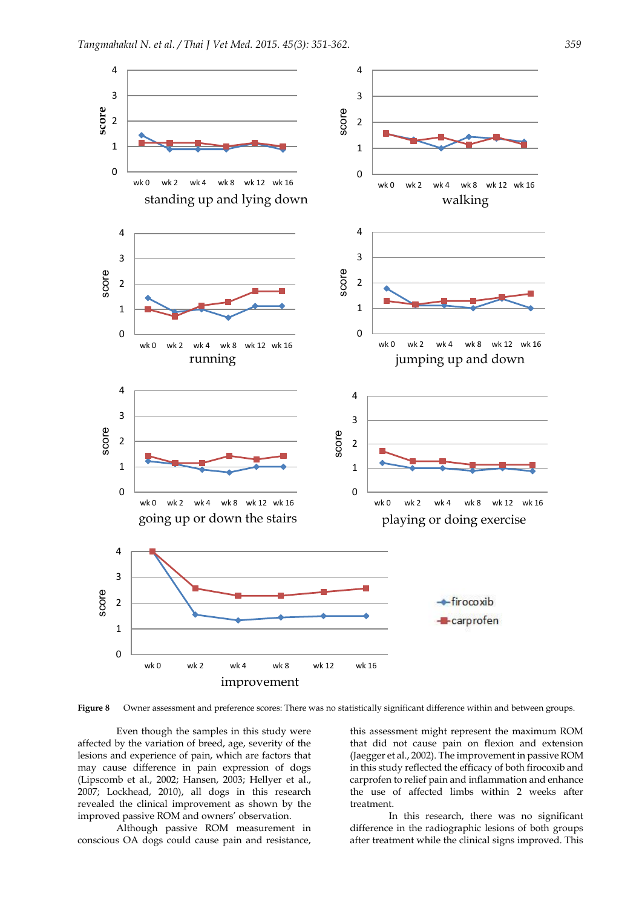

**Figure 8** Owner assessment and preference scores: There was no statistically significant difference within and between groups.

Even though the samples in this study were affected by the variation of breed, age, severity of the lesions and experience of pain, which are factors that may cause difference in pain expression of dogs [\(Lipscomb et al., 2002;](#page-9-11) [Hansen, 2003;](#page-9-12) [Hellyer et al.,](#page-9-13)  [2007;](#page-9-13) [Lockhead, 2010\)](#page-9-14), all dogs in this research revealed the clinical improvement as shown by the improved passive ROM and owners' observation.

Although passive ROM measurement in conscious OA dogs could cause pain and resistance,

this assessment might represent the maximum ROM that did not cause pain on flexion and extension (Jaegger et al., 2002). The improvement in passive ROM in this study reflected the efficacy of both firocoxib and carprofen to relief pain and inflammation and enhance the use of affected limbs within 2 weeks after treatment.

In this research, there was no significant difference in the radiographic lesions of both groups after treatment while the clinical signs improved. This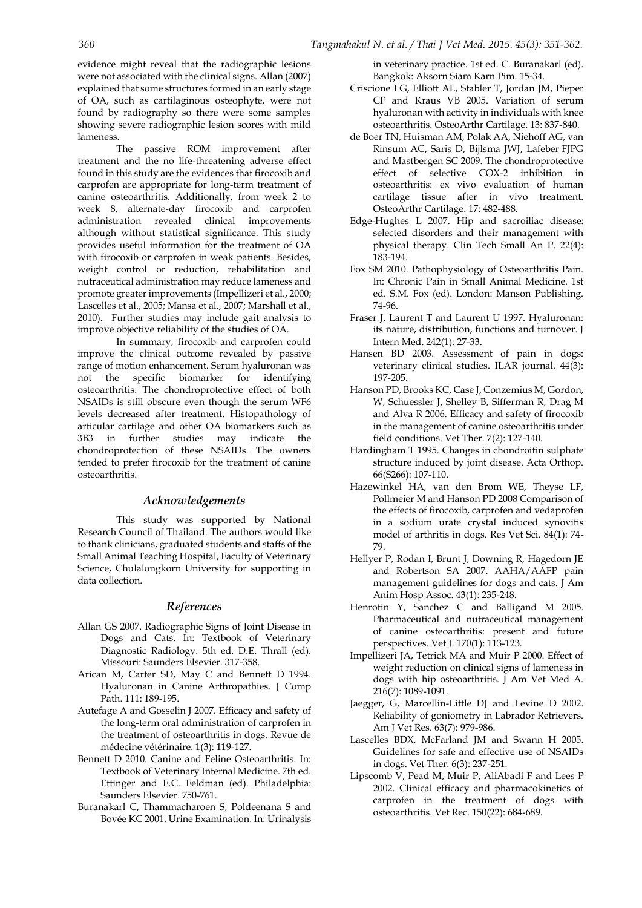evidence might reveal that the radiographic lesions were not associated with the clinical signs. [Allan \(2007\)](#page-9-0) explained that some structures formed in an early stage of OA, such as cartilaginous osteophyte, were not found by radiography so there were some samples showing severe radiographic lesion scores with mild lameness.

The passive ROM improvement after treatment and the no life-threatening adverse effect found in this study are the evidences that firocoxib and carprofen are appropriate for long-term treatment of canine osteoarthritis. Additionally, from week 2 to week 8, alternate-day firocoxib and carprofen administration revealed clinical improvements although without statistical significance. This study provides useful information for the treatment of OA with firocoxib or carprofen in weak patients. Besides, weight control or reduction, rehabilitation and nutraceutical administration may reduce lameness and promote greater improvements [\(Impellizeri et al., 2000;](#page-9-15)  [Lascelles et al., 2005;](#page-9-16) [Mansa et al., 2007;](#page-10-13) [Marshall et al.,](#page-10-14)  [2010\)](#page-10-14). Further studies may include gait analysis to improve objective reliability of the studies of OA.

In summary, firocoxib and carprofen could improve the clinical outcome revealed by passive range of motion enhancement. Serum hyaluronan was not the specific biomarker for identifying osteoarthritis. The chondroprotective effect of both NSAIDs is still obscure even though the serum WF6 levels decreased after treatment. Histopathology of articular cartilage and other OA biomarkers such as 3B3 in further studies may indicate the chondroprotection of these NSAIDs. The owners tended to prefer firocoxib for the treatment of canine osteoarthritis.

#### *Acknowledgements*

This study was supported by National Research Council of Thailand. The authors would like to thank clinicians, graduated students and staffs of the Small Animal Teaching Hospital, Faculty of Veterinary Science, Chulalongkorn University for supporting in data collection.

#### <span id="page-9-9"></span>*References*

- <span id="page-9-0"></span>Allan GS 2007. Radiographic Signs of Joint Disease in Dogs and Cats. In: Textbook of Veterinary Diagnostic Radiology. 5th ed. D.E. Thrall (ed). Missouri: Saunders Elsevier. 317-358.
- Arican M, Carter SD, May C and Bennett D 1994. Hyaluronan in Canine Arthropathies. J Comp Path. 111: 189-195.
- Autefage A and Gosselin J 2007. Efficacy and safety of the long-term oral administration of carprofen in the treatment of osteoarthritis in dogs. Revue de médecine vétérinaire. 1(3): 119-127.
- Bennett D 2010. Canine and Feline Osteoarthritis. In: Textbook of Veterinary Internal Medicine. 7th ed. Ettinger and E.C. Feldman (ed). Philadelphia: Saunders Elsevier. 750-761.
- Buranakarl C, Thammacharoen S, Poldeenana S and Bovée KC 2001. Urine Examination. In: Urinalysis

<span id="page-9-2"></span>in veterinary practice. 1st ed. C. Buranakarl (ed). Bangkok: Aksorn Siam Karn Pim. 15-34.

- Criscione LG, Elliott AL, Stabler T, Jordan JM, Pieper CF and Kraus VB 2005. Variation of serum hyaluronan with activity in individuals with knee osteoarthritis. OsteoArthr Cartilage. 13: 837-840.
- de Boer TN, Huisman AM, Polak AA, Niehoff AG, van Rinsum AC, Saris D, Bijlsma JWJ, Lafeber FJPG and Mastbergen SC 2009. The chondroprotective effect of selective COX-2 inhibition in osteoarthritis: ex vivo evaluation of human cartilage tissue after in vivo treatment. OsteoArthr Cartilage. 17: 482-488.
- Edge-Hughes L 2007. Hip and sacroiliac disease: selected disorders and their management with physical therapy. Clin Tech Small An P. 22(4): 183-194.
- <span id="page-9-4"></span>Fox SM 2010. Pathophysiology of Osteoarthritis Pain. In: Chronic Pain in Small Animal Medicine. 1st ed. S.M. Fox (ed). London: Manson Publishing. 74-96.
- <span id="page-9-10"></span>Fraser J, Laurent T and Laurent U 1997. Hyaluronan: its nature, distribution, functions and turnover. J Intern Med. 242(1): 27-33.
- <span id="page-9-12"></span>Hansen BD 2003. Assessment of pain in dogs: veterinary clinical studies. ILAR journal. 44(3): 197-205.
- <span id="page-9-8"></span>Hanson PD, Brooks KC, Case J, Conzemius M, Gordon, W, Schuessler J, Shelley B, Sifferman R, Drag M and Alva R 2006. Efficacy and safety of firocoxib in the management of canine osteoarthritis under field conditions. Vet Ther. 7(2): 127-140.
- <span id="page-9-6"></span>Hardingham T 1995. Changes in chondroitin sulphate structure induced by joint disease. Acta Orthop. 66(S266): 107-110.
- <span id="page-9-7"></span>Hazewinkel HA, van den Brom WE, Theyse LF, Pollmeier M and Hanson PD 2008 Comparison of the effects of firocoxib, carprofen and vedaprofen in a sodium urate crystal induced synovitis model of arthritis in dogs. Res Vet Sci. 84(1): 74- 79.
- <span id="page-9-13"></span>Hellyer P, Rodan I, Brunt J, Downing R, Hagedorn JE and Robertson SA 2007. AAHA/AAFP pain management guidelines for dogs and cats. J Am Anim Hosp Assoc. 43(1): 235-248.
- <span id="page-9-3"></span>Henrotin Y, Sanchez C and Balligand M 2005. Pharmaceutical and nutraceutical management of canine osteoarthritis: present and future perspectives. Vet J. 170(1): 113-123.
- <span id="page-9-15"></span><span id="page-9-5"></span>Impellizeri JA, Tetrick MA and Muir P 2000. Effect of weight reduction on clinical signs of lameness in dogs with hip osteoarthritis. J Am Vet Med A. 216(7): 1089-1091.
- Jaegger, G, Marcellin-Little DJ and Levine D 2002. Reliability of goniometry in Labrador Retrievers. Am J Vet Res. 63(7): 979-986.
- <span id="page-9-16"></span><span id="page-9-1"></span>Lascelles BDX, McFarland JM and Swann H 2005. Guidelines for safe and effective use of NSAIDs in dogs. Vet Ther. 6(3): 237-251.
- <span id="page-9-14"></span><span id="page-9-11"></span>Lipscomb V, Pead M, Muir P, AliAbadi F and Lees P 2002. Clinical efficacy and pharmacokinetics of carprofen in the treatment of dogs with osteoarthritis. Vet Rec. 150(22): 684-689.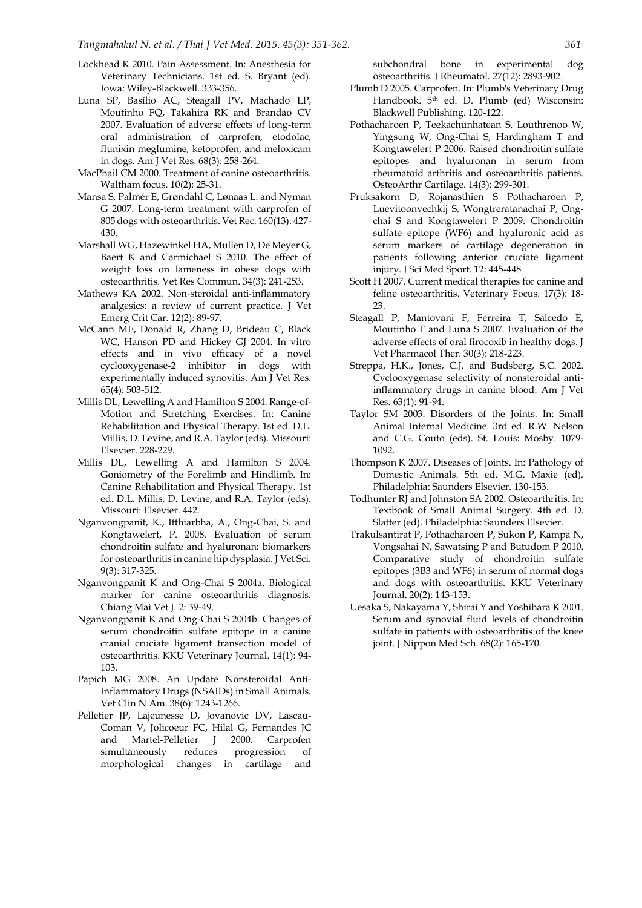- Lockhead K 2010. Pain Assessment. In: Anesthesia for Veterinary Technicians. 1st ed. S. Bryant (ed). Iowa: Wiley-Blackwell. 333-356.
- Luna SP, Basílio AC, Steagall PV, Machado LP, Moutinho FQ, Takahira RK and Brandão CV 2007. Evaluation of adverse effects of long-term oral administration of carprofen, etodolac, flunixin meglumine, ketoprofen, and meloxicam in dogs. Am J Vet Res. 68(3): 258-264.
- MacPhail CM 2000. Treatment of canine osteoarthritis. Waltham focus. 10(2): 25-31.
- Mansa S, Palmér E, Grøndahl C, Lønaas L. and Nyman G 2007. Long-term treatment with carprofen of 805 dogs with osteoarthritis. Vet Rec. 160(13): 427- 430.
- <span id="page-10-14"></span>Marshall WG, Hazewinkel HA, Mullen D, De Meyer G, Baert K and Carmichael S 2010. The effect of weight loss on lameness in obese dogs with osteoarthritis. Vet Res Commun. 34(3): 241-253.
- Mathews KA 2002. Non‐steroidal anti‐inflammatory analgesics: a review of current practice. J Vet Emerg Crit Car. 12(2): 89-97.
- McCann ME, Donald R, Zhang D, Brideau C, Black WC, Hanson PD and Hickey GJ 2004. In vitro effects and in vivo efficacy of a novel cyclooxygenase-2 inhibitor in dogs with experimentally induced synovitis. Am J Vet Res. 65(4): 503-512.
- Millis DL, Lewelling A and Hamilton S 2004. Range-of-Motion and Stretching Exercises. In: Canine Rehabilitation and Physical Therapy. 1st ed. D.L. Millis, D. Levine, and R.A. Taylor (eds). Missouri: Elsevier. 228-229.
- Millis DL, Lewelling A and Hamilton S 2004. Goniometry of the Forelimb and Hindlimb. In: Canine Rehabilitation and Physical Therapy. 1st ed. D.L. Millis, D. Levine, and R.A. Taylor (eds). Missouri: Elsevier. 442.
- <span id="page-10-5"></span>Nganvongpanit, K., Itthiarbha, A., Ong-Chai, S. and Kongtawelert, P. 2008. Evaluation of serum chondroitin sulfate and hyaluronan: biomarkers for osteoarthritis in canine hip dysplasia. J Vet Sci. 9(3): 317-325.
- <span id="page-10-6"></span>Nganvongpanit K and Ong-Chai S 2004a. Biological marker for canine osteoarthritis diagnosis. Chiang Mai Vet J. 2: 39-49.
- <span id="page-10-7"></span>Nganvongpanit K and Ong-Chai S 2004b. Changes of serum chondroitin sulfate epitope in a canine cranial cruciate ligament transection model of osteoarthritis. KKU Veterinary Journal. 14(1): 94- 103.
- Papich MG 2008. An Update Nonsteroidal Anti-Inflammatory Drugs (NSAIDs) in Small Animals. Vet Clin N Am. 38(6): 1243-1266.
- Pelletier JP, Lajeunesse D, Jovanovic DV, Lascau-Coman V, Jolicoeur FC, Hilal G, Fernandes JC and Martel-Pelletier J 2000. Carprofen simultaneously reduces progression of morphological changes in cartilage and

<span id="page-10-8"></span>subchondral bone in experimental dog osteoarthritis. J Rheumatol. 27(12): 2893-902.

- Plumb D 2005. Carprofen. In: Plumb's Veterinary Drug Handbook. 5<sup>th</sup> ed. D. Plumb (ed) Wisconsin: Blackwell Publishing. 120-122.
- <span id="page-10-3"></span>Pothacharoen P, Teekachunhatean S, Louthrenoo W, Yingsung W, Ong-Chai S, Hardingham T and Kongtawelert P 2006. Raised chondroitin sulfate epitopes and hyaluronan in serum from rheumatoid arthritis and osteoarthritis patients. OsteoArthr Cartilage. 14(3): 299-301.
- <span id="page-10-13"></span>Pruksakorn D, Rojanasthien S Pothacharoen P, Luevitoonvechkij S, Wongtreratanachai P, Ongchai S and Kongtawelert P 2009. Chondroitin sulfate epitope (WF6) and hyaluronic acid as serum markers of cartilage degeneration in patients following anterior cruciate ligament injury. J Sci Med Sport. 12: 445-448
- Scott H 2007. Current medical therapies for canine and feline osteoarthritis. Veterinary Focus. 17(3): 18- 23.
- <span id="page-10-11"></span><span id="page-10-10"></span>Steagall P, Mantovani F, Ferreira T, Salcedo E, Moutinho F and Luna S 2007. Evaluation of the adverse effects of oral firocoxib in healthy dogs. J Vet Pharmacol Ther. 30(3): 218-223.
- <span id="page-10-12"></span>Streppa, H.K., Jones, C.J. and Budsberg, S.C. 2002. Cyclooxygenase selectivity of nonsteroidal antiinflammatory drugs in canine blood. Am J Vet Res. 63(1): 91-94.
- <span id="page-10-2"></span>Taylor SM 2003. Disorders of the Joints. In: Small Animal Internal Medicine. 3rd ed. R.W. Nelson and C.G. Couto (eds). St. Louis: Mosby. 1079- 1092.
- <span id="page-10-0"></span>Thompson K 2007. Diseases of Joints. In: Pathology of Domestic Animals. 5th ed. M.G. Maxie (ed). Philadelphia: Saunders Elsevier. 130-153.
- <span id="page-10-1"></span>Todhunter RJ and Johnston SA 2002. Osteoarthritis. In: Textbook of Small Animal Surgery. 4th ed. D. Slatter (ed). Philadelphia: Saunders Elsevier.
- <span id="page-10-9"></span>Trakulsantirat P, Pothacharoen P, Sukon P, Kampa N, Vongsahai N, Sawatsing P and Butudom P 2010. Comparative study of chondroitin sulfate epitopes (3B3 and WF6) in serum of normal dogs and dogs with osteoarthritis. KKU Veterinary Journal. 20(2): 143-153.
- <span id="page-10-4"></span>Uesaka S, Nakayama Y, Shirai Y and Yoshihara K 2001. Serum and synovial fluid levels of chondroitin sulfate in patients with osteoarthritis of the knee joint. J Nippon Med Sch. 68(2): 165-170.